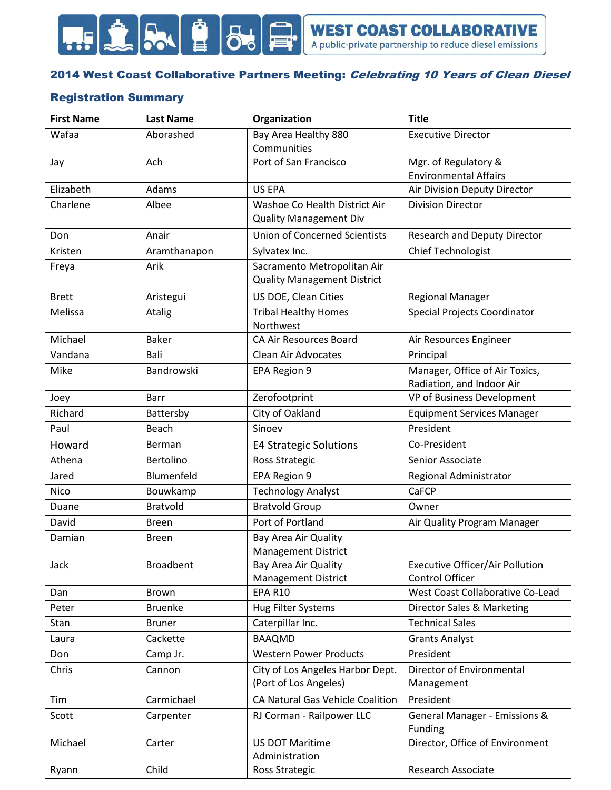

### 2014 West Coast Collaborative Partners Meeting: Celebrating 10 Years of Clean Diesel

### Registration Summary

| <b>First Name</b> | <b>Last Name</b> | Organization                                                      | <b>Title</b>                                                |
|-------------------|------------------|-------------------------------------------------------------------|-------------------------------------------------------------|
| Wafaa             | Aborashed        | Bay Area Healthy 880                                              | <b>Executive Director</b>                                   |
|                   |                  | Communities                                                       |                                                             |
| Jay               | Ach              | Port of San Francisco                                             | Mgr. of Regulatory &                                        |
|                   |                  |                                                                   | <b>Environmental Affairs</b>                                |
| Elizabeth         | Adams            | <b>US EPA</b>                                                     | Air Division Deputy Director                                |
| Charlene          | Albee            | Washoe Co Health District Air<br><b>Quality Management Div</b>    | <b>Division Director</b>                                    |
| Don               | Anair            | <b>Union of Concerned Scientists</b>                              | <b>Research and Deputy Director</b>                         |
| Kristen           | Aramthanapon     | Sylvatex Inc.                                                     | Chief Technologist                                          |
| Freya             | Arik             | Sacramento Metropolitan Air<br><b>Quality Management District</b> |                                                             |
| <b>Brett</b>      | Aristegui        | US DOE, Clean Cities                                              | <b>Regional Manager</b>                                     |
| Melissa           | Atalig           | <b>Tribal Healthy Homes</b><br>Northwest                          | Special Projects Coordinator                                |
| Michael           | <b>Baker</b>     | CA Air Resources Board                                            | Air Resources Engineer                                      |
| Vandana           | Bali             | <b>Clean Air Advocates</b>                                        | Principal                                                   |
| Mike              | Bandrowski       | EPA Region 9                                                      | Manager, Office of Air Toxics,<br>Radiation, and Indoor Air |
| Joey              | Barr             | Zerofootprint                                                     | VP of Business Development                                  |
| Richard           | Battersby        | City of Oakland                                                   | <b>Equipment Services Manager</b>                           |
| Paul              | Beach            | Sinoev                                                            | President                                                   |
| Howard            | Berman           | <b>E4 Strategic Solutions</b>                                     | Co-President                                                |
| Athena            | <b>Bertolino</b> | Ross Strategic                                                    | Senior Associate                                            |
| Jared             | Blumenfeld       | EPA Region 9                                                      | Regional Administrator                                      |
| <b>Nico</b>       | Bouwkamp         | <b>Technology Analyst</b>                                         | CaFCP                                                       |
| Duane             | <b>Bratvold</b>  | <b>Bratvold Group</b>                                             | Owner                                                       |
| David             | <b>Breen</b>     | Port of Portland                                                  | Air Quality Program Manager                                 |
| Damian            | <b>Breen</b>     | Bay Area Air Quality<br><b>Management District</b>                |                                                             |
| Jack              | <b>Broadbent</b> | Bay Area Air Quality<br><b>Management District</b>                | <b>Executive Officer/Air Pollution</b><br>Control Officer   |
| Dan               | Brown            | <b>EPA R10</b>                                                    | West Coast Collaborative Co-Lead                            |
| Peter             | <b>Bruenke</b>   | <b>Hug Filter Systems</b>                                         | Director Sales & Marketing                                  |
| Stan              | <b>Bruner</b>    | Caterpillar Inc.                                                  | <b>Technical Sales</b>                                      |
| Laura             | Cackette         | <b>BAAQMD</b>                                                     | <b>Grants Analyst</b>                                       |
| Don               | Camp Jr.         | <b>Western Power Products</b>                                     | President                                                   |
| Chris             | Cannon           | City of Los Angeles Harbor Dept.<br>(Port of Los Angeles)         | Director of Environmental<br>Management                     |
| Tim               | Carmichael       | CA Natural Gas Vehicle Coalition                                  | President                                                   |
| Scott             | Carpenter        | RJ Corman - Railpower LLC                                         | General Manager - Emissions &<br>Funding                    |
| Michael           | Carter           | <b>US DOT Maritime</b><br>Administration                          | Director, Office of Environment                             |
| Ryann             | Child            | <b>Ross Strategic</b>                                             | Research Associate                                          |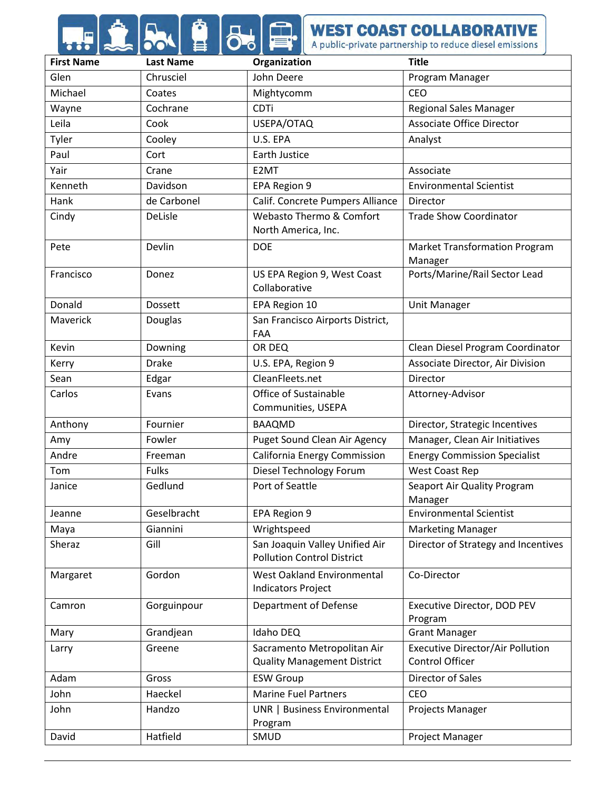# **AND AND APPROVEST COAST COLLABORATIVE**

| <b>First Name</b> | <b>Last Name</b> | Organization                                                        | <b>Title</b>                                               |
|-------------------|------------------|---------------------------------------------------------------------|------------------------------------------------------------|
| Glen              | Chrusciel        | John Deere                                                          | Program Manager                                            |
| Michael           | Coates           | Mightycomm                                                          | <b>CEO</b>                                                 |
| Wayne             | Cochrane         | <b>CDTi</b>                                                         | <b>Regional Sales Manager</b>                              |
| Leila             | Cook             | USEPA/OTAQ                                                          | <b>Associate Office Director</b>                           |
| Tyler             | Cooley           | U.S. EPA                                                            | Analyst                                                    |
| Paul              | Cort             | Earth Justice                                                       |                                                            |
| Yair              | Crane            | E2MT                                                                | Associate                                                  |
| Kenneth           | Davidson         | EPA Region 9                                                        | <b>Environmental Scientist</b>                             |
| Hank              | de Carbonel      | Calif. Concrete Pumpers Alliance                                    | Director                                                   |
| Cindy             | DeLisle          | Webasto Thermo & Comfort<br>North America, Inc.                     | <b>Trade Show Coordinator</b>                              |
| Pete              | Devlin           | <b>DOE</b>                                                          | <b>Market Transformation Program</b><br>Manager            |
| Francisco         | Donez            | US EPA Region 9, West Coast<br>Collaborative                        | Ports/Marine/Rail Sector Lead                              |
| Donald            | <b>Dossett</b>   | EPA Region 10                                                       | <b>Unit Manager</b>                                        |
| Maverick          | <b>Douglas</b>   | San Francisco Airports District,<br>FAA                             |                                                            |
| Kevin             | Downing          | OR DEQ                                                              | Clean Diesel Program Coordinator                           |
| Kerry             | <b>Drake</b>     | U.S. EPA, Region 9                                                  | Associate Director, Air Division                           |
| Sean              | Edgar            | CleanFleets.net                                                     | Director                                                   |
| Carlos            | Evans            | Office of Sustainable<br>Communities, USEPA                         | Attorney-Advisor                                           |
| Anthony           | Fournier         | <b>BAAQMD</b>                                                       | Director, Strategic Incentives                             |
| Amy               | Fowler           | Puget Sound Clean Air Agency                                        | Manager, Clean Air Initiatives                             |
| Andre             | Freeman          | California Energy Commission                                        | <b>Energy Commission Specialist</b>                        |
| Tom               | <b>Fulks</b>     | Diesel Technology Forum                                             | West Coast Rep                                             |
| Janice            | Gedlund          | Port of Seattle                                                     | Seaport Air Quality Program<br>Manager                     |
| Jeanne            | Geselbracht      | EPA Region 9                                                        | <b>Environmental Scientist</b>                             |
| Maya              | Giannini         | Wrightspeed                                                         | <b>Marketing Manager</b>                                   |
| Sheraz            | Gill             | San Joaquin Valley Unified Air<br><b>Pollution Control District</b> | Director of Strategy and Incentives                        |
| Margaret          | Gordon           | West Oakland Environmental<br><b>Indicators Project</b>             | Co-Director                                                |
| Camron            | Gorguinpour      | Department of Defense                                               | Executive Director, DOD PEV<br>Program                     |
| Mary              | Grandjean        | Idaho DEQ                                                           | <b>Grant Manager</b>                                       |
| Larry             | Greene           | Sacramento Metropolitan Air<br><b>Quality Management District</b>   | <b>Executive Director/Air Pollution</b><br>Control Officer |
| Adam              | Gross            | <b>ESW Group</b>                                                    | Director of Sales                                          |
| John              | Haeckel          | <b>Marine Fuel Partners</b>                                         | CEO                                                        |
| John              | Handzo           | UNR   Business Environmental<br>Program                             | Projects Manager                                           |
| David             | Hatfield         | SMUD                                                                | Project Manager                                            |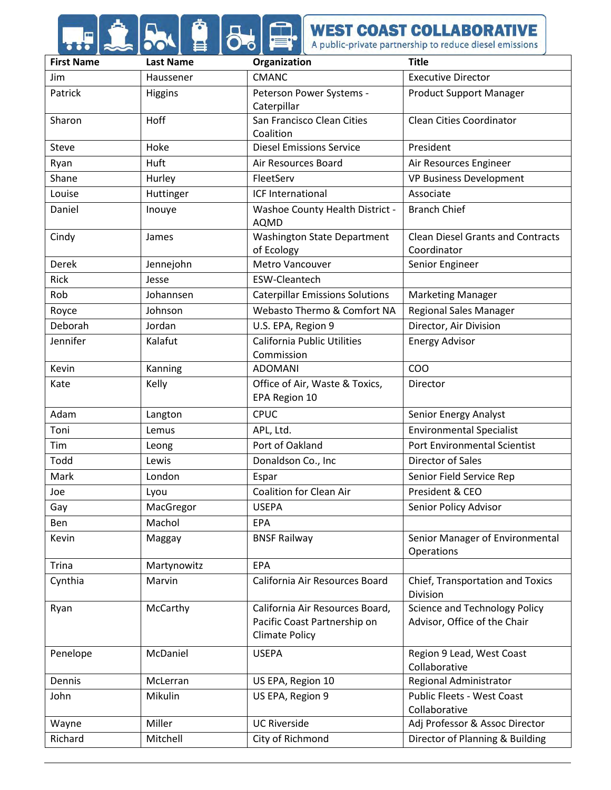# **FILED AND APUBLIC PROPERTY COAST COLLABORATIVE**

| <b>First Name</b> | <b>Last Name</b> | Organization                                                                             | <b>Title</b>                                                         |
|-------------------|------------------|------------------------------------------------------------------------------------------|----------------------------------------------------------------------|
| Jim               | Haussener        | <b>CMANC</b>                                                                             | <b>Executive Director</b>                                            |
| Patrick           | Higgins          | Peterson Power Systems -<br>Caterpillar                                                  | <b>Product Support Manager</b>                                       |
| Sharon            | Hoff             | San Francisco Clean Cities<br>Coalition                                                  | <b>Clean Cities Coordinator</b>                                      |
| Steve             | Hoke             | <b>Diesel Emissions Service</b>                                                          | President                                                            |
| Ryan              | Huft             | Air Resources Board                                                                      | Air Resources Engineer                                               |
| Shane             | Hurley           | FleetServ                                                                                | <b>VP Business Development</b>                                       |
| Louise            | Huttinger        | ICF International                                                                        | Associate                                                            |
| Daniel            | Inouye           | Washoe County Health District -<br><b>AQMD</b>                                           | <b>Branch Chief</b>                                                  |
| Cindy             | James            | <b>Washington State Department</b><br>of Ecology                                         | <b>Clean Diesel Grants and Contracts</b><br>Coordinator              |
| Derek             | Jennejohn        | Metro Vancouver                                                                          | Senior Engineer                                                      |
| <b>Rick</b>       | Jesse            | <b>ESW-Cleantech</b>                                                                     |                                                                      |
| Rob               | Johannsen        | <b>Caterpillar Emissions Solutions</b>                                                   | <b>Marketing Manager</b>                                             |
| Royce             | Johnson          | Webasto Thermo & Comfort NA                                                              | <b>Regional Sales Manager</b>                                        |
| <b>Deborah</b>    | Jordan           | U.S. EPA, Region 9                                                                       | Director, Air Division                                               |
| Jennifer          | Kalafut          | California Public Utilities<br>Commission                                                | <b>Energy Advisor</b>                                                |
| Kevin             | Kanning          | <b>ADOMANI</b>                                                                           | COO                                                                  |
| Kate              | Kelly            | Office of Air, Waste & Toxics,<br>EPA Region 10                                          | Director                                                             |
| Adam              | Langton          | <b>CPUC</b>                                                                              | Senior Energy Analyst                                                |
| Toni              | Lemus            | APL, Ltd.                                                                                | <b>Environmental Specialist</b>                                      |
| Tim               | Leong            | Port of Oakland                                                                          | Port Environmental Scientist                                         |
| Todd              | Lewis            | Donaldson Co., Inc                                                                       | Director of Sales                                                    |
| Mark              | London           | Espar                                                                                    | Senior Field Service Rep                                             |
| Joe               | Lyou             | <b>Coalition for Clean Air</b>                                                           | President & CEO                                                      |
| Gay               | MacGregor        | <b>USEPA</b>                                                                             | Senior Policy Advisor                                                |
| Ben               | Machol           | <b>EPA</b>                                                                               |                                                                      |
| Kevin             | Maggay           | <b>BNSF Railway</b>                                                                      | Senior Manager of Environmental<br><b>Operations</b>                 |
| Trina             | Martynowitz      | <b>EPA</b>                                                                               |                                                                      |
| Cynthia           | Marvin           | California Air Resources Board                                                           | Chief, Transportation and Toxics<br><b>Division</b>                  |
| Ryan              | McCarthy         | California Air Resources Board,<br>Pacific Coast Partnership on<br><b>Climate Policy</b> | <b>Science and Technology Policy</b><br>Advisor, Office of the Chair |
| Penelope          | McDaniel         | <b>USEPA</b>                                                                             | Region 9 Lead, West Coast<br>Collaborative                           |
| Dennis            | McLerran         | US EPA, Region 10                                                                        | Regional Administrator                                               |
| John              | Mikulin          | US EPA, Region 9                                                                         | Public Fleets - West Coast<br>Collaborative                          |
| Wayne             | Miller           | <b>UC Riverside</b>                                                                      | Adj Professor & Assoc Director                                       |
| Richard           | Mitchell         | City of Richmond                                                                         | Director of Planning & Building                                      |
|                   |                  |                                                                                          |                                                                      |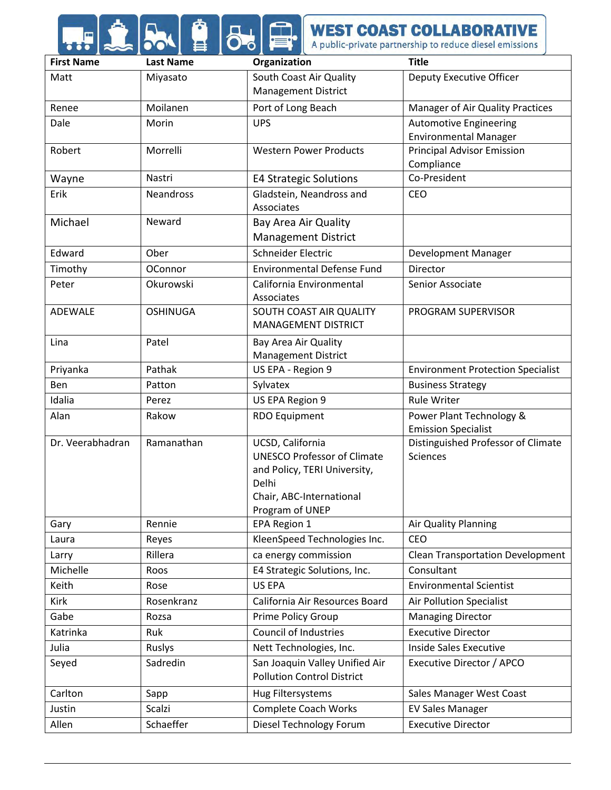### **AND AND APPROVEST COAST COLLABORATIVE**

| <b>First Name</b> | <b>Last Name</b> | Organization                                          | <b>Title</b>                                    |
|-------------------|------------------|-------------------------------------------------------|-------------------------------------------------|
| Matt              | Miyasato         | South Coast Air Quality                               | Deputy Executive Officer                        |
|                   |                  | <b>Management District</b>                            |                                                 |
| Renee             | Moilanen         | Port of Long Beach                                    | Manager of Air Quality Practices                |
| Dale              | Morin            | <b>UPS</b>                                            | <b>Automotive Engineering</b>                   |
|                   |                  |                                                       | <b>Environmental Manager</b>                    |
| Robert            | Morrelli         | <b>Western Power Products</b>                         | <b>Principal Advisor Emission</b><br>Compliance |
| Wayne             | Nastri           | <b>E4 Strategic Solutions</b>                         | Co-President                                    |
| Erik              | <b>Neandross</b> | Gladstein, Neandross and                              | <b>CEO</b>                                      |
|                   |                  | Associates                                            |                                                 |
| Michael           | Neward           | Bay Area Air Quality                                  |                                                 |
|                   |                  | <b>Management District</b>                            |                                                 |
| Edward            | Ober             | Schneider Electric                                    | Development Manager                             |
| Timothy           | OConnor          | <b>Environmental Defense Fund</b>                     | Director                                        |
| Peter             | Okurowski        | California Environmental                              | Senior Associate                                |
|                   |                  | Associates                                            |                                                 |
| <b>ADEWALE</b>    | <b>OSHINUGA</b>  | SOUTH COAST AIR QUALITY<br><b>MANAGEMENT DISTRICT</b> | PROGRAM SUPERVISOR                              |
|                   |                  |                                                       |                                                 |
| Lina              | Patel            | Bay Area Air Quality<br><b>Management District</b>    |                                                 |
| Priyanka          | Pathak           | US EPA - Region 9                                     | <b>Environment Protection Specialist</b>        |
| Ben               | Patton           | Sylvatex                                              | <b>Business Strategy</b>                        |
| Idalia            | Perez            | US EPA Region 9                                       | <b>Rule Writer</b>                              |
| Alan              | Rakow            | <b>RDO Equipment</b>                                  | Power Plant Technology &                        |
|                   |                  |                                                       | <b>Emission Specialist</b>                      |
| Dr. Veerabhadran  | Ramanathan       | UCSD, California                                      | Distinguished Professor of Climate              |
|                   |                  | <b>UNESCO Professor of Climate</b>                    | <b>Sciences</b>                                 |
|                   |                  | and Policy, TERI University,<br>Delhi                 |                                                 |
|                   |                  | Chair, ABC-International                              |                                                 |
|                   |                  | Program of UNEP                                       |                                                 |
| Gary              | Rennie           | EPA Region 1                                          | Air Quality Planning                            |
| Laura             | Reyes            | KleenSpeed Technologies Inc.                          | <b>CEO</b>                                      |
| Larry             | Rillera          | ca energy commission                                  | <b>Clean Transportation Development</b>         |
| Michelle          | Roos             | E4 Strategic Solutions, Inc.                          | Consultant                                      |
| Keith             | Rose             | <b>US EPA</b>                                         | <b>Environmental Scientist</b>                  |
| Kirk              | Rosenkranz       | California Air Resources Board                        | Air Pollution Specialist                        |
| Gabe              | Rozsa            | Prime Policy Group                                    | <b>Managing Director</b>                        |
| Katrinka          | Ruk              | <b>Council of Industries</b>                          | <b>Executive Director</b>                       |
| Julia             | Ruslys           | Nett Technologies, Inc.                               | <b>Inside Sales Executive</b>                   |
| Seyed             | Sadredin         | San Joaquin Valley Unified Air                        | Executive Director / APCO                       |
|                   |                  | <b>Pollution Control District</b>                     |                                                 |
| Carlton           | Sapp             | Hug Filtersystems                                     | Sales Manager West Coast                        |
| Justin            | Scalzi           | <b>Complete Coach Works</b>                           | <b>EV Sales Manager</b>                         |
| Allen             | Schaeffer        | Diesel Technology Forum                               | <b>Executive Director</b>                       |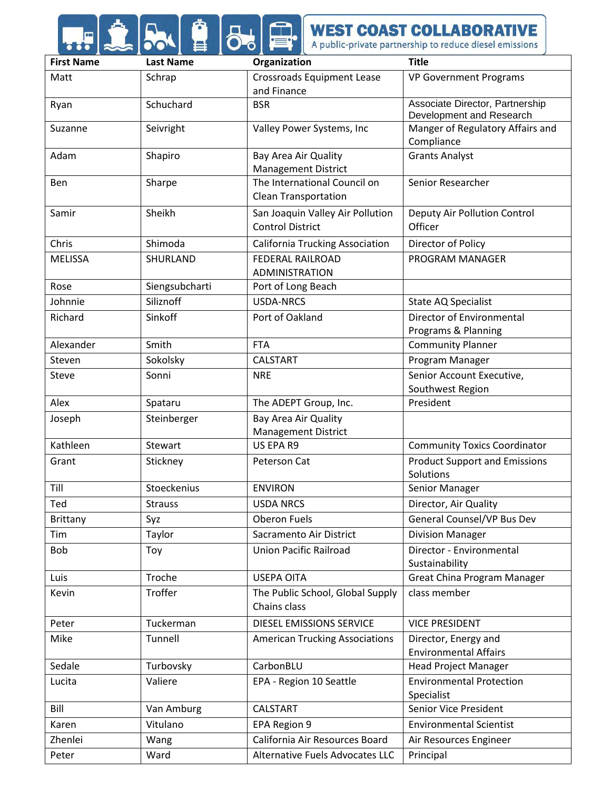## **A DOMET COAST COLLABORATIVE**

| <b>First Name</b> | <b>Last Name</b> | Organization                           | <b>Title</b>                                                |
|-------------------|------------------|----------------------------------------|-------------------------------------------------------------|
| Matt              | Schrap           | <b>Crossroads Equipment Lease</b>      | <b>VP Government Programs</b>                               |
|                   |                  | and Finance                            |                                                             |
| Ryan              | Schuchard        | <b>BSR</b>                             | Associate Director, Partnership<br>Development and Research |
| Suzanne           | Seivright        | Valley Power Systems, Inc              | Manger of Regulatory Affairs and                            |
|                   |                  |                                        | Compliance                                                  |
| Adam              | Shapiro          | Bay Area Air Quality                   | <b>Grants Analyst</b>                                       |
|                   |                  | <b>Management District</b>             |                                                             |
| Ben               | Sharpe           | The International Council on           | Senior Researcher                                           |
|                   |                  | <b>Clean Transportation</b>            |                                                             |
| Samir             | Sheikh           | San Joaquin Valley Air Pollution       | Deputy Air Pollution Control                                |
|                   |                  | <b>Control District</b>                | Officer                                                     |
| Chris             | Shimoda          | <b>California Trucking Association</b> | Director of Policy                                          |
| <b>MELISSA</b>    | SHURLAND         | <b>FEDERAL RAILROAD</b>                | PROGRAM MANAGER                                             |
|                   |                  | <b>ADMINISTRATION</b>                  |                                                             |
| Rose              | Siengsubcharti   | Port of Long Beach                     |                                                             |
| Johnnie           | Siliznoff        | <b>USDA-NRCS</b>                       | State AQ Specialist                                         |
| Richard           | Sinkoff          | Port of Oakland                        | Director of Environmental                                   |
| Alexander         |                  | <b>FTA</b>                             | Programs & Planning                                         |
|                   | Smith            |                                        | <b>Community Planner</b>                                    |
| Steven            | Sokolsky         | <b>CALSTART</b>                        | Program Manager                                             |
| <b>Steve</b>      | Sonni            | <b>NRE</b>                             | Senior Account Executive,<br>Southwest Region               |
| Alex              | Spataru          | The ADEPT Group, Inc.                  | President                                                   |
| Joseph            | Steinberger      | Bay Area Air Quality                   |                                                             |
|                   |                  | <b>Management District</b>             |                                                             |
| Kathleen          | Stewart          | US EPA R9                              | <b>Community Toxics Coordinator</b>                         |
| Grant             | Stickney         | Peterson Cat                           | <b>Product Support and Emissions</b>                        |
|                   |                  |                                        | Solutions                                                   |
| Till              | Stoeckenius      | <b>ENVIRON</b>                         | Senior Manager                                              |
| Ted               | Strauss          | <b>USDA NRCS</b>                       | Director, Air Quality                                       |
| Brittany          | Syz              | <b>Oberon Fuels</b>                    | General Counsel/VP Bus Dev                                  |
| Tim               | Taylor           | Sacramento Air District                | <b>Division Manager</b>                                     |
| <b>Bob</b>        | Toy              | <b>Union Pacific Railroad</b>          | Director - Environmental                                    |
|                   |                  |                                        | Sustainability                                              |
| Luis              | Troche           | <b>USEPA OITA</b>                      | Great China Program Manager                                 |
| Kevin             | Troffer          | The Public School, Global Supply       | class member                                                |
|                   |                  | Chains class                           |                                                             |
| Peter             | Tuckerman        | DIESEL EMISSIONS SERVICE               | <b>VICE PRESIDENT</b>                                       |
| Mike              | Tunnell          | <b>American Trucking Associations</b>  | Director, Energy and                                        |
|                   |                  |                                        | <b>Environmental Affairs</b>                                |
| Sedale            | Turbovsky        | CarbonBLU                              | <b>Head Project Manager</b>                                 |
| Lucita            | Valiere          | EPA - Region 10 Seattle                | <b>Environmental Protection</b>                             |
|                   |                  |                                        | Specialist                                                  |
| Bill              | Van Amburg       | <b>CALSTART</b>                        | Senior Vice President                                       |
| Karen             | Vitulano         | EPA Region 9                           | <b>Environmental Scientist</b>                              |
| Zhenlei           | Wang             | California Air Resources Board         | Air Resources Engineer                                      |
| Peter             | Ward             | Alternative Fuels Advocates LLC        | Principal                                                   |